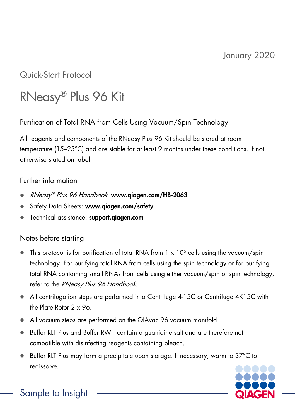## Quick-Start Protocol

# RNeasy® Plus 96 Kit

Purification of Total RNA from Cells Using Vacuum/Spin Technology

All reagents and components of the RNeasy Plus 96 Kit should be stored at room temperature (15–25°C) and are stable for at least 9 months under these conditions, if not otherwise stated on label.

#### Further information

- RNeasy® Plus 96 Handbook: www.qiagen.com/HB-2063
- Safety Data Sheets: www.qiagen.com/safety
- Technical assistance: support.giagen.com

### Notes before starting

- This protocol is for purification of total RNA from  $1 \times 10^6$  cells using the vacuum/spin technology. For purifying total RNA from cells using the spin technology or for purifying total RNA containing small RNAs from cells using either vacuum/spin or spin technology, refer to the RNeasy Plus 96 Handbook.
- All centrifugation steps are performed in a Centrifuge 4-15C or Centrifuge 4K15C with the Plate Rotor 2 x 96.
- All vacuum steps are performed on the QIAvac 96 vacuum manifold.
- Buffer RLT Plus and Buffer RW1 contain a guanidine salt and are therefore not compatible with disinfecting reagents containing bleach.
- Buffer RLT Plus may form a precipitate upon storage. If necessary, warm to 37°C to redissolve.



Sample to Insight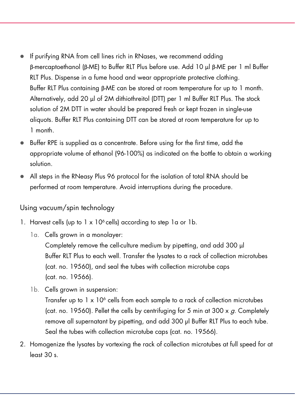- If purifying RNA from cell lines rich in RNases, we recommend adding β-mercaptoethanol (β-ME) to Buffer RLT Plus before use. Add 10 μl β-ME per 1 ml Buffer RLT Plus. Dispense in a fume hood and wear appropriate protective clothing. Buffer RLT Plus containing β-ME can be stored at room temperature for up to 1 month. Alternatively, add 20 μl of 2M dithiothreitol (DTT) per 1 ml Buffer RLT Plus. The stock solution of 2M DTT in water should be prepared fresh or kept frozen in single-use aliquots. Buffer RLT Plus containing DTT can be stored at room temperature for up to 1 month.
- Buffer RPE is supplied as a concentrate. Before using for the first time, add the appropriate volume of ethanol (96-100%) as indicated on the bottle to obtain a working solution.
- All steps in the RNeasy Plus 96 protocol for the isolation of total RNA should be performed at room temperature. Avoid interruptions during the procedure.

#### Using vacuum/spin technology

- 1. Harvest cells (up to  $1 \times 10^6$  cells) according to step 1a or 1b.
	- 1a. Cells grown in a monolayer: Completely remove the cell-culture medium by pipetting, and add 300 μl Buffer RLT Plus to each well. Transfer the lysates to a rack of collection microtubes (cat. no. 19560), and seal the tubes with collection microtube caps (cat. no. 19566).
	- 1b. Cells grown in suspension:

Transfer up to  $1 \times 10^6$  cells from each sample to a rack of collection microtubes (cat. no. 19560). Pellet the cells by centrifuging for 5 min at 300  $\times$  g. Completely remove all supernatant by pipetting, and add 300 μl Buffer RLT Plus to each tube. Seal the tubes with collection microtube caps (cat. no. 19566).

2. Homogenize the lysates by vortexing the rack of collection microtubes at full speed for at least 30 s.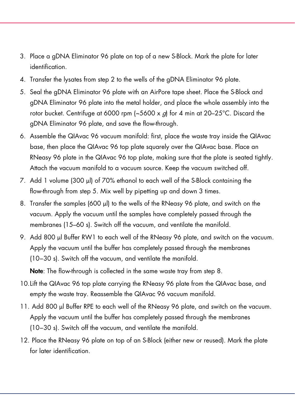- 3. Place a gDNA Eliminator 96 plate on top of a new S-Block. Mark the plate for later identification.
- 4. Transfer the lysates from step 2 to the wells of the gDNA Eliminator 96 plate.
- 5. Seal the gDNA Eliminator 96 plate with an AirPore tape sheet. Place the S-Block and gDNA Eliminator 96 plate into the metal holder, and place the whole assembly into the rotor bucket. Centrifuge at 6000 rpm (~5600 x g) for 4 min at 20–25°C. Discard the gDNA Eliminator 96 plate, and save the flow-through.
- 6. Assemble the QIAvac 96 vacuum manifold: first, place the waste tray inside the QIAvac base, then place the QIAvac 96 top plate squarely over the QIAvac base. Place an RNeasy 96 plate in the QIAvac 96 top plate, making sure that the plate is seated tightly. Attach the vacuum manifold to a vacuum source. Keep the vacuum switched off.
- 7. Add 1 volume (300 μl) of 70% ethanol to each well of the S-Block containing the flow-through from step 5. Mix well by pipetting up and down 3 times.
- 8. Transfer the samples (600 μl) to the wells of the RNeasy 96 plate, and switch on the vacuum. Apply the vacuum until the samples have completely passed through the membranes (15–60 s). Switch off the vacuum, and ventilate the manifold.
- 9. Add 800 μl Buffer RW1 to each well of the RNeasy 96 plate, and switch on the vacuum. Apply the vacuum until the buffer has completely passed through the membranes (10−30 s). Switch off the vacuum, and ventilate the manifold.

Note: The flow-through is collected in the same waste tray from step 8.

- 10.Lift the QIAvac 96 top plate carrying the RNeasy 96 plate from the QIAvac base, and empty the waste tray. Reassemble the QIAvac 96 vacuum manifold.
- 11. Add 800 μl Buffer RPE to each well of the RNeasy 96 plate, and switch on the vacuum. Apply the vacuum until the buffer has completely passed through the membranes (10−30 s). Switch off the vacuum, and ventilate the manifold.
- 12. Place the RNeasy 96 plate on top of an S-Block (either new or reused). Mark the plate for later identification.